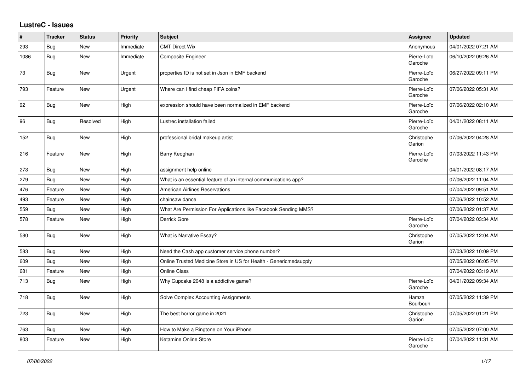## **LustreC - Issues**

| #    | <b>Tracker</b> | <b>Status</b> | <b>Priority</b> | <b>Subject</b>                                                    | <b>Assignee</b>        | <b>Updated</b>      |
|------|----------------|---------------|-----------------|-------------------------------------------------------------------|------------------------|---------------------|
| 293  | Bug            | <b>New</b>    | Immediate       | <b>CMT Direct Wix</b>                                             | Anonymous              | 04/01/2022 07:21 AM |
| 1086 | Bug            | <b>New</b>    | Immediate       | <b>Composite Engineer</b>                                         | Pierre-Loïc<br>Garoche | 06/10/2022 09:26 AM |
| 73   | Bug            | New           | Urgent          | properties ID is not set in Json in EMF backend                   | Pierre-Loïc<br>Garoche | 06/27/2022 09:11 PM |
| 793  | Feature        | New           | Urgent          | Where can I find cheap FIFA coins?                                | Pierre-Loïc<br>Garoche | 07/06/2022 05:31 AM |
| 92   | Bug            | New           | High            | expression should have been normalized in EMF backend             | Pierre-Loïc<br>Garoche | 07/06/2022 02:10 AM |
| 96   | Bug            | Resolved      | High            | Lustrec installation failed                                       | Pierre-Loïc<br>Garoche | 04/01/2022 08:11 AM |
| 152  | <b>Bug</b>     | New           | High            | professional bridal makeup artist                                 | Christophe<br>Garion   | 07/06/2022 04:28 AM |
| 216  | Feature        | New           | High            | Barry Keoghan                                                     | Pierre-Loïc<br>Garoche | 07/03/2022 11:43 PM |
| 273  | Bug            | New           | High            | assignment help online                                            |                        | 04/01/2022 08:17 AM |
| 279  | <b>Bug</b>     | New           | High            | What is an essential feature of an internal communications app?   |                        | 07/06/2022 11:04 AM |
| 476  | Feature        | New           | High            | American Airlines Reservations                                    |                        | 07/04/2022 09:51 AM |
| 493  | Feature        | <b>New</b>    | High            | chainsaw dance                                                    |                        | 07/06/2022 10:52 AM |
| 559  | Bug            | <b>New</b>    | High            | What Are Permission For Applications like Facebook Sending MMS?   |                        | 07/06/2022 01:37 AM |
| 578  | Feature        | New           | High            | Derrick Gore                                                      | Pierre-Loïc<br>Garoche | 07/04/2022 03:34 AM |
| 580  | Bug            | New           | High            | What is Narrative Essay?                                          | Christophe<br>Garion   | 07/05/2022 12:04 AM |
| 583  | Bug            | <b>New</b>    | High            | Need the Cash app customer service phone number?                  |                        | 07/03/2022 10:09 PM |
| 609  | <b>Bug</b>     | New           | High            | Online Trusted Medicine Store in US for Health - Genericmedsupply |                        | 07/05/2022 06:05 PM |
| 681  | Feature        | New           | High            | <b>Online Class</b>                                               |                        | 07/04/2022 03:19 AM |
| 713  | Bug            | <b>New</b>    | High            | Why Cupcake 2048 is a addictive game?                             | Pierre-Loïc<br>Garoche | 04/01/2022 09:34 AM |
| 718  | <b>Bug</b>     | <b>New</b>    | High            | Solve Complex Accounting Assignments                              | Hamza<br>Bourbouh      | 07/05/2022 11:39 PM |
| 723  | Bug            | New           | High            | The best horror game in 2021                                      | Christophe<br>Garion   | 07/05/2022 01:21 PM |
| 763  | Bug            | <b>New</b>    | High            | How to Make a Ringtone on Your iPhone                             |                        | 07/05/2022 07:00 AM |
| 803  | Feature        | <b>New</b>    | High            | Ketamine Online Store                                             | Pierre-Loïc<br>Garoche | 07/04/2022 11:31 AM |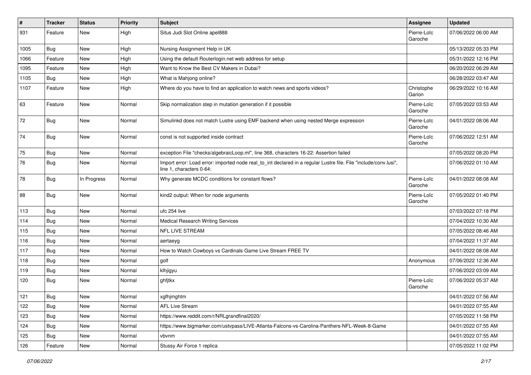| #    | <b>Tracker</b> | <b>Status</b> | <b>Priority</b> | Subject                                                                                                                                      | <b>Assignee</b>        | <b>Updated</b>      |
|------|----------------|---------------|-----------------|----------------------------------------------------------------------------------------------------------------------------------------------|------------------------|---------------------|
| 931  | Feature        | New           | High            | Situs Judi Slot Online apel888                                                                                                               | Pierre-Loïc<br>Garoche | 07/06/2022 06:00 AM |
| 1005 | Bug            | New           | High            | Nursing Assignment Help in UK                                                                                                                |                        | 05/13/2022 05:33 PM |
| 1066 | Feature        | New           | High            | Using the default Routerlogin.net web address for setup                                                                                      |                        | 05/31/2022 12:16 PM |
| 1095 | Feature        | New           | High            | Want to Know the Best CV Makers in Dubai?                                                                                                    |                        | 06/20/2022 06:29 AM |
| 1105 | <b>Bug</b>     | New           | High            | What is Mahjong online?                                                                                                                      |                        | 06/28/2022 03:47 AM |
| 1107 | Feature        | New           | High            | Where do you have to find an application to watch news and sports videos?                                                                    | Christophe<br>Garion   | 06/29/2022 10:16 AM |
| 63   | Feature        | New           | Normal          | Skip normalization step in mutation generation if it possible                                                                                | Pierre-Loïc<br>Garoche | 07/05/2022 03:53 AM |
| 72   | <b>Bug</b>     | New           | Normal          | Simulinkd does not match Lustre using EMF backend when using nested Merge expression                                                         | Pierre-Loïc<br>Garoche | 04/01/2022 08:06 AM |
| 74   | Bug            | New           | Normal          | const is not supported inside contract                                                                                                       | Pierre-Loïc<br>Garoche | 07/06/2022 12:51 AM |
| 75   | Bug            | New           | Normal          | exception File "checks/algebraicLoop.ml", line 368, characters 16-22: Assertion failed                                                       |                        | 07/05/2022 08:20 PM |
| 76   | <b>Bug</b>     | New           | Normal          | Import error: Load error: imported node real_to_int declared in a regular Lustre file. File "include/conv.lusi",<br>line 1, characters 0-64: |                        | 07/06/2022 01:10 AM |
| 78   | <b>Bug</b>     | In Progress   | Normal          | Why generate MCDC conditions for constant flows?                                                                                             | Pierre-Loïc<br>Garoche | 04/01/2022 08:08 AM |
| 88   | Bug            | New           | Normal          | kind2 output: When for node arguments                                                                                                        | Pierre-Loïc<br>Garoche | 07/05/2022 01:40 PM |
| 113  | Bug            | New           | Normal          | ufc 254 live                                                                                                                                 |                        | 07/03/2022 07:18 PM |
| 114  | Bug            | New           | Normal          | <b>Medical Research Writing Services</b>                                                                                                     |                        | 07/04/2022 10:30 AM |
| 115  | Bug            | New           | Normal          | NFL LIVE STREAM                                                                                                                              |                        | 07/05/2022 08:46 AM |
| 116  | Bug            | New           | Normal          | aertaeyg                                                                                                                                     |                        | 07/04/2022 11:37 AM |
| 117  | Bug            | New           | Normal          | How to Watch Cowboys vs Cardinals Game Live Stream FREE TV                                                                                   |                        | 04/01/2022 08:08 AM |
| 118  | <b>Bug</b>     | New           | Normal          | golf                                                                                                                                         | Anonymous              | 07/06/2022 12:36 AM |
| 119  | <b>Bug</b>     | New           | Normal          | klhjigyu                                                                                                                                     |                        | 07/06/2022 03:09 AM |
| 120  | <b>Bug</b>     | New           | Normal          | ghfjtkx                                                                                                                                      | Pierre-Loïc<br>Garoche | 07/06/2022 05:37 AM |
| 121  | Bug            | New           | Normal          | xgfhjmghtm                                                                                                                                   |                        | 04/01/2022 07:56 AM |
| 122  | Bug            | New           | Normal          | <b>AFL Live Stream</b>                                                                                                                       |                        | 04/01/2022 07:55 AM |
| 123  | Bug            | New           | Normal          | https://www.reddit.com/r/NRLgrandfinal2020/                                                                                                  |                        | 07/05/2022 11:58 PM |
| 124  | <b>Bug</b>     | New           | Normal          | https://www.bigmarker.com/ustvpass/LIVE-Atlanta-Falcons-vs-Carolina-Panthers-NFL-Week-8-Game                                                 |                        | 04/01/2022 07:55 AM |
| 125  | Bug            | New           | Normal          | vbvnm                                                                                                                                        |                        | 04/01/2022 07:55 AM |
| 126  | Feature        | New           | Normal          | Stussy Air Force 1 replica                                                                                                                   |                        | 07/05/2022 11:02 PM |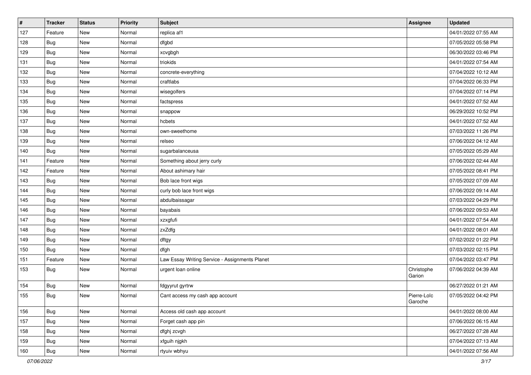| $\vert$ # | <b>Tracker</b> | <b>Status</b> | <b>Priority</b> | <b>Subject</b>                                 | Assignee               | <b>Updated</b>      |
|-----------|----------------|---------------|-----------------|------------------------------------------------|------------------------|---------------------|
| 127       | Feature        | New           | Normal          | replica af1                                    |                        | 04/01/2022 07:55 AM |
| 128       | Bug            | New           | Normal          | dfgbd                                          |                        | 07/05/2022 05:58 PM |
| 129       | Bug            | New           | Normal          | xcvgbgh                                        |                        | 06/30/2022 03:46 PM |
| 131       | <b>Bug</b>     | <b>New</b>    | Normal          | triokids                                       |                        | 04/01/2022 07:54 AM |
| 132       | <b>Bug</b>     | <b>New</b>    | Normal          | concrete-everything                            |                        | 07/04/2022 10:12 AM |
| 133       | Bug            | New           | Normal          | craftlabs                                      |                        | 07/04/2022 06:33 PM |
| 134       | Bug            | <b>New</b>    | Normal          | wisegolfers                                    |                        | 07/04/2022 07:14 PM |
| 135       | Bug            | New           | Normal          | factspress                                     |                        | 04/01/2022 07:52 AM |
| 136       | Bug            | New           | Normal          | snappow                                        |                        | 06/29/2022 10:52 PM |
| 137       | <b>Bug</b>     | <b>New</b>    | Normal          | hcbets                                         |                        | 04/01/2022 07:52 AM |
| 138       | Bug            | New           | Normal          | own-sweethome                                  |                        | 07/03/2022 11:26 PM |
| 139       | Bug            | New           | Normal          | relseo                                         |                        | 07/06/2022 04:12 AM |
| 140       | Bug            | New           | Normal          | sugarbalanceusa                                |                        | 07/05/2022 05:29 AM |
| 141       | Feature        | New           | Normal          | Something about jerry curly                    |                        | 07/06/2022 02:44 AM |
| 142       | Feature        | New           | Normal          | About ashimary hair                            |                        | 07/05/2022 08:41 PM |
| 143       | Bug            | New           | Normal          | Bob lace front wigs                            |                        | 07/05/2022 07:09 AM |
| 144       | Bug            | New           | Normal          | curly bob lace front wigs                      |                        | 07/06/2022 09:14 AM |
| 145       | Bug            | <b>New</b>    | Normal          | abdulbaissagar                                 |                        | 07/03/2022 04:29 PM |
| 146       | <b>Bug</b>     | New           | Normal          | bayabais                                       |                        | 07/06/2022 09:53 AM |
| 147       | Bug            | New           | Normal          | xzxgfufi                                       |                        | 04/01/2022 07:54 AM |
| 148       | Bug            | New           | Normal          | zxZdfg                                         |                        | 04/01/2022 08:01 AM |
| 149       | Bug            | New           | Normal          | dftgy                                          |                        | 07/02/2022 01:22 PM |
| 150       | Bug            | New           | Normal          | dfgh                                           |                        | 07/03/2022 02:15 PM |
| 151       | Feature        | New           | Normal          | Law Essay Writing Service - Assignments Planet |                        | 07/04/2022 03:47 PM |
| 153       | Bug            | New           | Normal          | urgent loan online                             | Christophe<br>Garion   | 07/06/2022 04:39 AM |
| 154       | <b>Bug</b>     | New           | Normal          | fdgyyrut gyrtrw                                |                        | 06/27/2022 01:21 AM |
| 155       | Bug            | New           | Normal          | Cant access my cash app account                | Pierre-Loïc<br>Garoche | 07/05/2022 04:42 PM |
| 156       | <b>Bug</b>     | New           | Normal          | Access old cash app account                    |                        | 04/01/2022 08:00 AM |
| 157       | <b>Bug</b>     | New           | Normal          | Forget cash app pin                            |                        | 07/06/2022 06:15 AM |
| 158       | <b>Bug</b>     | New           | Normal          | dfghj zcvgh                                    |                        | 06/27/2022 07:28 AM |
| 159       | <b>Bug</b>     | New           | Normal          | xfguih njgkh                                   |                        | 07/04/2022 07:13 AM |
| 160       | <b>Bug</b>     | New           | Normal          | rtyuiv wbhyu                                   |                        | 04/01/2022 07:56 AM |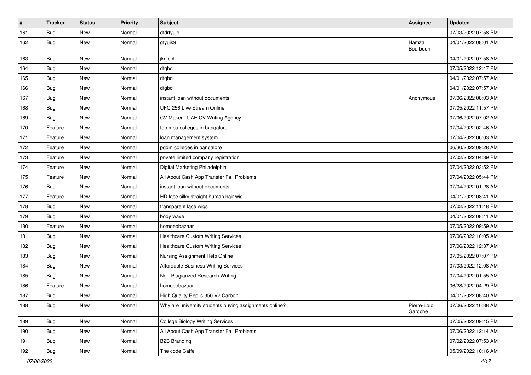| $\vert$ # | <b>Tracker</b> | <b>Status</b> | <b>Priority</b> | <b>Subject</b>                                         | <b>Assignee</b>        | <b>Updated</b>      |
|-----------|----------------|---------------|-----------------|--------------------------------------------------------|------------------------|---------------------|
| 161       | <b>Bug</b>     | New           | Normal          | dfdrtyuio                                              |                        | 07/03/2022 07:58 PM |
| 162       | Bug            | New           | Normal          | gfyuik9                                                | Hamza<br>Bourbouh      | 04/01/2022 08:01 AM |
| 163       | Bug            | New           | Normal          | jknjopl[                                               |                        | 04/01/2022 07:58 AM |
| 164       | Bug            | <b>New</b>    | Normal          | dfgbd                                                  |                        | 07/05/2022 12:47 PM |
| 165       | Bug            | New           | Normal          | dfgbd                                                  |                        | 04/01/2022 07:57 AM |
| 166       | Bug            | <b>New</b>    | Normal          | dfgbd                                                  |                        | 04/01/2022 07:57 AM |
| 167       | Bug            | New           | Normal          | instant loan without documents                         | Anonymous              | 07/06/2022 08:03 AM |
| 168       | <b>Bug</b>     | New           | Normal          | UFC 256 Live Stream Online                             |                        | 07/05/2022 11:57 PM |
| 169       | Bug            | <b>New</b>    | Normal          | CV Maker - UAE CV Writing Agency                       |                        | 07/06/2022 07:02 AM |
| 170       | Feature        | New           | Normal          | top mba colleges in bangalore                          |                        | 07/04/2022 02:46 AM |
| 171       | Feature        | New           | Normal          | loan management system                                 |                        | 07/04/2022 06:03 AM |
| 172       | Feature        | <b>New</b>    | Normal          | pgdm colleges in bangalore                             |                        | 06/30/2022 09:28 AM |
| 173       | Feature        | New           | Normal          | private limited company registration                   |                        | 07/02/2022 04:39 PM |
| 174       | Feature        | New           | Normal          | Digital Marketing Philadelphia                         |                        | 07/04/2022 03:52 PM |
| 175       | Feature        | New           | Normal          | All About Cash App Transfer Fail Problems              |                        | 07/04/2022 05:44 PM |
| 176       | <b>Bug</b>     | New           | Normal          | instant loan without documents                         |                        | 07/04/2022 01:28 AM |
| 177       | Feature        | <b>New</b>    | Normal          | HD lace silky straight human hair wig                  |                        | 04/01/2022 08:41 AM |
| 178       | Bug            | New           | Normal          | transparent lace wigs                                  |                        | 07/02/2022 11:48 PM |
| 179       | Bug            | New           | Normal          | body wave                                              |                        | 04/01/2022 08:41 AM |
| 180       | Feature        | New           | Normal          | homoeobazaar                                           |                        | 07/05/2022 09:59 AM |
| 181       | Bug            | New           | Normal          | <b>Healthcare Custom Writing Services</b>              |                        | 07/06/2022 10:05 AM |
| 182       | <b>Bug</b>     | <b>New</b>    | Normal          | <b>Healthcare Custom Writing Services</b>              |                        | 07/06/2022 12:37 AM |
| 183       | Bug            | New           | Normal          | Nursing Assignment Help Online                         |                        | 07/05/2022 07:07 PM |
| 184       | <b>Bug</b>     | <b>New</b>    | Normal          | Affordable Business Writing Services                   |                        | 07/03/2022 12:08 AM |
| 185       | Bug            | <b>New</b>    | Normal          | Non-Plagiarized Research Writing                       |                        | 07/04/2022 01:55 AM |
| 186       | Feature        | New           | Normal          | homoeobazaar                                           |                        | 06/28/2022 04:29 PM |
| 187       | Bug            | New           | Normal          | High Quality Replic 350 V2 Carbon                      |                        | 04/01/2022 08:40 AM |
| 188       | <b>Bug</b>     | New           | Normal          | Why are university students buying assignments online? | Pierre-Loïc<br>Garoche | 07/06/2022 10:38 AM |
| 189       | <b>Bug</b>     | New           | Normal          | <b>College Biology Writing Services</b>                |                        | 07/05/2022 09:45 PM |
| 190       | <b>Bug</b>     | New           | Normal          | All About Cash App Transfer Fail Problems              |                        | 07/06/2022 12:14 AM |
| 191       | <b>Bug</b>     | New           | Normal          | <b>B2B Branding</b>                                    |                        | 07/02/2022 07:53 AM |
| 192       | Bug            | New           | Normal          | The code Caffe                                         |                        | 05/09/2022 10:16 AM |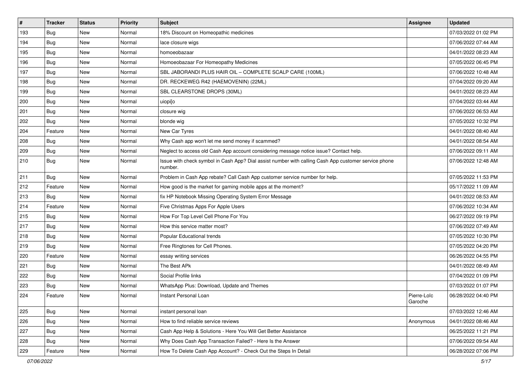| $\sharp$ | <b>Tracker</b> | <b>Status</b> | Priority | <b>Subject</b>                                                                                                  | Assignee               | <b>Updated</b>      |
|----------|----------------|---------------|----------|-----------------------------------------------------------------------------------------------------------------|------------------------|---------------------|
| 193      | Bug            | New           | Normal   | 18% Discount on Homeopathic medicines                                                                           |                        | 07/03/2022 01:02 PM |
| 194      | Bug            | <b>New</b>    | Normal   | lace closure wigs                                                                                               |                        | 07/06/2022 07:44 AM |
| 195      | Bug            | New           | Normal   | homoeobazaar                                                                                                    |                        | 04/01/2022 08:23 AM |
| 196      | Bug            | New           | Normal   | Homoeobazaar For Homeopathy Medicines                                                                           |                        | 07/05/2022 06:45 PM |
| 197      | Bug            | <b>New</b>    | Normal   | SBL JABORANDI PLUS HAIR OIL - COMPLETE SCALP CARE (100ML)                                                       |                        | 07/06/2022 10:48 AM |
| 198      | Bug            | New           | Normal   | DR. RECKEWEG R42 (HAEMOVENIN) (22ML)                                                                            |                        | 07/04/2022 09:20 AM |
| 199      | Bug            | <b>New</b>    | Normal   | SBL CLEARSTONE DROPS (30ML)                                                                                     |                        | 04/01/2022 08:23 AM |
| 200      | Bug            | New           | Normal   | uiopi[o                                                                                                         |                        | 07/04/2022 03:44 AM |
| 201      | Bug            | <b>New</b>    | Normal   | closure wig                                                                                                     |                        | 07/06/2022 06:53 AM |
| 202      | Bug            | <b>New</b>    | Normal   | blonde wig                                                                                                      |                        | 07/05/2022 10:32 PM |
| 204      | Feature        | New           | Normal   | New Car Tyres                                                                                                   |                        | 04/01/2022 08:40 AM |
| 208      | Bug            | New           | Normal   | Why Cash app won't let me send money if scammed?                                                                |                        | 04/01/2022 08:54 AM |
| 209      | Bug            | <b>New</b>    | Normal   | Neglect to access old Cash App account considering message notice issue? Contact help.                          |                        | 07/06/2022 09:11 AM |
| 210      | Bug            | New           | Normal   | Issue with check symbol in Cash App? Dial assist number with calling Cash App customer service phone<br>number. |                        | 07/06/2022 12:48 AM |
| 211      | Bug            | New           | Normal   | Problem in Cash App rebate? Call Cash App customer service number for help.                                     |                        | 07/05/2022 11:53 PM |
| 212      | Feature        | <b>New</b>    | Normal   | How good is the market for gaming mobile apps at the moment?                                                    |                        | 05/17/2022 11:09 AM |
| 213      | Bug            | New           | Normal   | fix HP Notebook Missing Operating System Error Message                                                          |                        | 04/01/2022 08:53 AM |
| 214      | Feature        | New           | Normal   | Five Christmas Apps For Apple Users                                                                             |                        | 07/06/2022 10:34 AM |
| 215      | Bug            | <b>New</b>    | Normal   | How For Top Level Cell Phone For You                                                                            |                        | 06/27/2022 09:19 PM |
| 217      | Bug            | <b>New</b>    | Normal   | How this service matter most?                                                                                   |                        | 07/06/2022 07:49 AM |
| 218      | Bug            | <b>New</b>    | Normal   | Popular Educational trends                                                                                      |                        | 07/05/2022 10:30 PM |
| 219      | Bug            | <b>New</b>    | Normal   | Free Ringtones for Cell Phones.                                                                                 |                        | 07/05/2022 04:20 PM |
| 220      | Feature        | New           | Normal   | essay writing services                                                                                          |                        | 06/26/2022 04:55 PM |
| 221      | Bug            | <b>New</b>    | Normal   | The Best APk                                                                                                    |                        | 04/01/2022 08:49 AM |
| 222      | Bug            | <b>New</b>    | Normal   | Social Profile links                                                                                            |                        | 07/04/2022 01:09 PM |
| 223      | <b>Bug</b>     | New           | Normal   | WhatsApp Plus: Download, Update and Themes                                                                      |                        | 07/03/2022 01:07 PM |
| 224      | Feature        | <b>New</b>    | Normal   | Instant Personal Loan                                                                                           | Pierre-Loïc<br>Garoche | 06/28/2022 04:40 PM |
| 225      | Bug            | New           | Normal   | instant personal loan                                                                                           |                        | 07/03/2022 12:46 AM |
| 226      | Bug            | New           | Normal   | How to find reliable service reviews                                                                            | Anonymous              | 04/01/2022 08:46 AM |
| 227      | Bug            | New           | Normal   | Cash App Help & Solutions - Here You Will Get Better Assistance                                                 |                        | 06/25/2022 11:21 PM |
| 228      | Bug            | New           | Normal   | Why Does Cash App Transaction Failed? - Here Is the Answer                                                      |                        | 07/06/2022 09:54 AM |
| 229      | Feature        | New           | Normal   | How To Delete Cash App Account? - Check Out the Steps In Detail                                                 |                        | 06/28/2022 07:06 PM |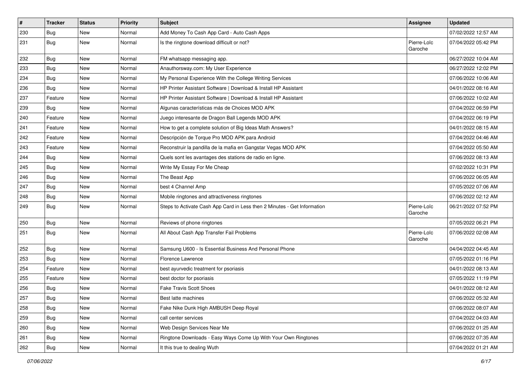| #   | <b>Tracker</b> | <b>Status</b> | <b>Priority</b> | <b>Subject</b>                                                           | Assignee               | <b>Updated</b>      |
|-----|----------------|---------------|-----------------|--------------------------------------------------------------------------|------------------------|---------------------|
| 230 | <b>Bug</b>     | <b>New</b>    | Normal          | Add Money To Cash App Card - Auto Cash Apps                              |                        | 07/02/2022 12:57 AM |
| 231 | Bug            | <b>New</b>    | Normal          | Is the ringtone download difficult or not?                               | Pierre-Loïc<br>Garoche | 07/04/2022 05:42 PM |
| 232 | Bug            | <b>New</b>    | Normal          | FM whatsapp messaging app.                                               |                        | 06/27/2022 10:04 AM |
| 233 | Bug            | <b>New</b>    | Normal          | Anauthorsway.com: My User Experience                                     |                        | 06/27/2022 12:02 PM |
| 234 | Bug            | New           | Normal          | My Personal Experience With the College Writing Services                 |                        | 07/06/2022 10:06 AM |
| 236 | Bug            | <b>New</b>    | Normal          | HP Printer Assistant Software   Download & Install HP Assistant          |                        | 04/01/2022 08:16 AM |
| 237 | Feature        | New           | Normal          | HP Printer Assistant Software   Download & Install HP Assistant          |                        | 07/06/2022 10:02 AM |
| 239 | Bug            | <b>New</b>    | Normal          | Algunas características más de Choices MOD APK                           |                        | 07/04/2022 06:59 PM |
| 240 | Feature        | <b>New</b>    | Normal          | Juego interesante de Dragon Ball Legends MOD APK                         |                        | 07/04/2022 06:19 PM |
| 241 | Feature        | New           | Normal          | How to get a complete solution of Big Ideas Math Answers?                |                        | 04/01/2022 08:15 AM |
| 242 | Feature        | <b>New</b>    | Normal          | Descripción de Torque Pro MOD APK para Android                           |                        | 07/04/2022 04:46 AM |
| 243 | Feature        | New           | Normal          | Reconstruir la pandilla de la mafia en Gangstar Vegas MOD APK            |                        | 07/04/2022 05:50 AM |
| 244 | <b>Bug</b>     | <b>New</b>    | Normal          | Quels sont les avantages des stations de radio en ligne.                 |                        | 07/06/2022 08:13 AM |
| 245 | Bug            | <b>New</b>    | Normal          | Write My Essay For Me Cheap                                              |                        | 07/02/2022 10:31 PM |
| 246 | Bug            | <b>New</b>    | Normal          | The Beast App                                                            |                        | 07/06/2022 06:05 AM |
| 247 | Bug            | <b>New</b>    | Normal          | best 4 Channel Amp                                                       |                        | 07/05/2022 07:06 AM |
| 248 | Bug            | New           | Normal          | Mobile ringtones and attractiveness ringtones                            |                        | 07/06/2022 02:12 AM |
| 249 | Bug            | <b>New</b>    | Normal          | Steps to Activate Cash App Card in Less then 2 Minutes - Get Information | Pierre-Loïc<br>Garoche | 06/21/2022 07:52 PM |
| 250 | Bug            | New           | Normal          | Reviews of phone ringtones                                               |                        | 07/05/2022 06:21 PM |
| 251 | Bug            | <b>New</b>    | Normal          | All About Cash App Transfer Fail Problems                                | Pierre-Loïc<br>Garoche | 07/06/2022 02:08 AM |
| 252 | Bug            | <b>New</b>    | Normal          | Samsung U600 - Is Essential Business And Personal Phone                  |                        | 04/04/2022 04:45 AM |
| 253 | Bug            | <b>New</b>    | Normal          | Florence Lawrence                                                        |                        | 07/05/2022 01:16 PM |
| 254 | Feature        | New           | Normal          | best ayurvedic treatment for psoriasis                                   |                        | 04/01/2022 08:13 AM |
| 255 | Feature        | New           | Normal          | best doctor for psoriasis                                                |                        | 07/05/2022 11:19 PM |
| 256 | Bug            | <b>New</b>    | Normal          | Fake Travis Scott Shoes                                                  |                        | 04/01/2022 08:12 AM |
| 257 | Bug            | New           | Normal          | Best latte machines                                                      |                        | 07/06/2022 05:32 AM |
| 258 | <b>Bug</b>     | New           | Normal          | Fake Nike Dunk High AMBUSH Deep Royal                                    |                        | 07/06/2022 08:07 AM |
| 259 | Bug            | New           | Normal          | call center services                                                     |                        | 07/04/2022 04:03 AM |
| 260 | Bug            | New           | Normal          | Web Design Services Near Me                                              |                        | 07/06/2022 01:25 AM |
| 261 | Bug            | New           | Normal          | Ringtone Downloads - Easy Ways Come Up With Your Own Ringtones           |                        | 07/06/2022 07:35 AM |
| 262 | Bug            | New           | Normal          | It this true to dealing Wuth                                             |                        | 07/04/2022 01:21 AM |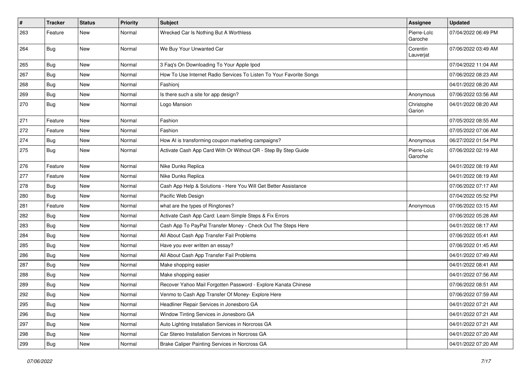| $\pmb{\#}$ | <b>Tracker</b> | <b>Status</b> | <b>Priority</b> | <b>Subject</b>                                                      | Assignee               | <b>Updated</b>      |
|------------|----------------|---------------|-----------------|---------------------------------------------------------------------|------------------------|---------------------|
| 263        | Feature        | New           | Normal          | Wrecked Car Is Nothing But A Worthless                              | Pierre-Loïc<br>Garoche | 07/04/2022 06:49 PM |
| 264        | Bug            | <b>New</b>    | Normal          | We Buy Your Unwanted Car                                            | Corentin<br>Lauverjat  | 07/06/2022 03:49 AM |
| 265        | Bug            | <b>New</b>    | Normal          | 3 Faq's On Downloading To Your Apple Ipod                           |                        | 07/04/2022 11:04 AM |
| 267        | Bug            | <b>New</b>    | Normal          | How To Use Internet Radio Services To Listen To Your Favorite Songs |                        | 07/06/2022 08:23 AM |
| 268        | Bug            | <b>New</b>    | Normal          | Fashionj                                                            |                        | 04/01/2022 08:20 AM |
| 269        | Bug            | New           | Normal          | Is there such a site for app design?                                | Anonymous              | 07/06/2022 03:56 AM |
| 270        | Bug            | New           | Normal          | Logo Mansion                                                        | Christophe<br>Garion   | 04/01/2022 08:20 AM |
| 271        | Feature        | <b>New</b>    | Normal          | Fashion                                                             |                        | 07/05/2022 08:55 AM |
| 272        | Feature        | New           | Normal          | Fashion                                                             |                        | 07/05/2022 07:06 AM |
| 274        | Bug            | <b>New</b>    | Normal          | How AI is transforming coupon marketing campaigns?                  | Anonymous              | 06/27/2022 01:54 PM |
| 275        | Bug            | New           | Normal          | Activate Cash App Card With Or Without QR - Step By Step Guide      | Pierre-Loïc<br>Garoche | 07/06/2022 02:19 AM |
| 276        | Feature        | <b>New</b>    | Normal          | Nike Dunks Replica                                                  |                        | 04/01/2022 08:19 AM |
| 277        | Feature        | <b>New</b>    | Normal          | Nike Dunks Replica                                                  |                        | 04/01/2022 08:19 AM |
| 278        | Bug            | <b>New</b>    | Normal          | Cash App Help & Solutions - Here You Will Get Better Assistance     |                        | 07/06/2022 07:17 AM |
| 280        | Bug            | <b>New</b>    | Normal          | Pacific Web Design                                                  |                        | 07/04/2022 05:52 PM |
| 281        | Feature        | <b>New</b>    | Normal          | what are the types of Ringtones?                                    | Anonymous              | 07/06/2022 03:15 AM |
| 282        | Bug            | <b>New</b>    | Normal          | Activate Cash App Card: Learn Simple Steps & Fix Errors             |                        | 07/06/2022 05:28 AM |
| 283        | Bug            | <b>New</b>    | Normal          | Cash App To PayPal Transfer Money - Check Out The Steps Here        |                        | 04/01/2022 08:17 AM |
| 284        | Bug            | <b>New</b>    | Normal          | All About Cash App Transfer Fail Problems                           |                        | 07/06/2022 05:41 AM |
| 285        | <b>Bug</b>     | New           | Normal          | Have you ever written an essay?                                     |                        | 07/06/2022 01:45 AM |
| 286        | Bug            | New           | Normal          | All About Cash App Transfer Fail Problems                           |                        | 04/01/2022 07:49 AM |
| 287        | Bug            | <b>New</b>    | Normal          | Make shopping easier                                                |                        | 04/01/2022 08:41 AM |
| 288        | Bug            | <b>New</b>    | Normal          | Make shopping easier                                                |                        | 04/01/2022 07:56 AM |
| 289        | <b>Bug</b>     | <b>New</b>    | Normal          | Recover Yahoo Mail Forgotten Password - Explore Kanata Chinese      |                        | 07/06/2022 08:51 AM |
| 292        | <b>Bug</b>     | New           | Normal          | Venmo to Cash App Transfer Of Money- Explore Here                   |                        | 07/06/2022 07:59 AM |
| 295        | Bug            | New           | Normal          | Headliner Repair Services in Jonesboro GA                           |                        | 04/01/2022 07:21 AM |
| 296        | Bug            | <b>New</b>    | Normal          | Window Tinting Services in Jonesboro GA                             |                        | 04/01/2022 07:21 AM |
| 297        | <b>Bug</b>     | New           | Normal          | Auto Lighting Installation Services in Norcross GA                  |                        | 04/01/2022 07:21 AM |
| 298        | Bug            | New           | Normal          | Car Stereo Installation Services in Norcross GA                     |                        | 04/01/2022 07:20 AM |
| 299        | <b>Bug</b>     | New           | Normal          | Brake Caliper Painting Services in Norcross GA                      |                        | 04/01/2022 07:20 AM |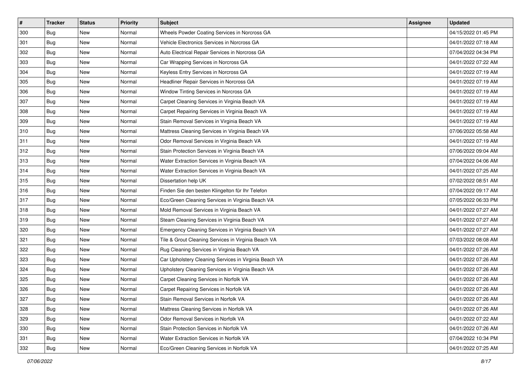| $\sharp$ | <b>Tracker</b> | <b>Status</b> | <b>Priority</b> | Subject                                               | <b>Assignee</b> | <b>Updated</b>      |
|----------|----------------|---------------|-----------------|-------------------------------------------------------|-----------------|---------------------|
| 300      | Bug            | New           | Normal          | Wheels Powder Coating Services in Norcross GA         |                 | 04/15/2022 01:45 PM |
| 301      | Bug            | <b>New</b>    | Normal          | Vehicle Electronics Services in Norcross GA           |                 | 04/01/2022 07:18 AM |
| 302      | Bug            | New           | Normal          | Auto Electrical Repair Services in Norcross GA        |                 | 07/04/2022 04:34 PM |
| 303      | Bug            | New           | Normal          | Car Wrapping Services in Norcross GA                  |                 | 04/01/2022 07:22 AM |
| 304      | Bug            | <b>New</b>    | Normal          | Keyless Entry Services in Norcross GA                 |                 | 04/01/2022 07:19 AM |
| 305      | Bug            | New           | Normal          | Headliner Repair Services in Norcross GA              |                 | 04/01/2022 07:19 AM |
| 306      | Bug            | <b>New</b>    | Normal          | Window Tinting Services in Norcross GA                |                 | 04/01/2022 07:19 AM |
| 307      | Bug            | New           | Normal          | Carpet Cleaning Services in Virginia Beach VA         |                 | 04/01/2022 07:19 AM |
| 308      | Bug            | <b>New</b>    | Normal          | Carpet Repairing Services in Virginia Beach VA        |                 | 04/01/2022 07:19 AM |
| 309      | Bug            | <b>New</b>    | Normal          | Stain Removal Services in Virginia Beach VA           |                 | 04/01/2022 07:19 AM |
| 310      | <b>Bug</b>     | <b>New</b>    | Normal          | Mattress Cleaning Services in Virginia Beach VA       |                 | 07/06/2022 05:58 AM |
| 311      | Bug            | New           | Normal          | Odor Removal Services in Virginia Beach VA            |                 | 04/01/2022 07:19 AM |
| 312      | Bug            | New           | Normal          | Stain Protection Services in Virginia Beach VA        |                 | 07/06/2022 09:04 AM |
| 313      | Bug            | New           | Normal          | Water Extraction Services in Virginia Beach VA        |                 | 07/04/2022 04:06 AM |
| 314      | Bug            | New           | Normal          | Water Extraction Services in Virginia Beach VA        |                 | 04/01/2022 07:25 AM |
| 315      | Bug            | New           | Normal          | Dissertation help UK                                  |                 | 07/02/2022 08:51 AM |
| 316      | Bug            | New           | Normal          | Finden Sie den besten Klingelton für Ihr Telefon      |                 | 07/04/2022 09:17 AM |
| 317      | Bug            | <b>New</b>    | Normal          | Eco/Green Cleaning Services in Virginia Beach VA      |                 | 07/05/2022 06:33 PM |
| 318      | <b>Bug</b>     | <b>New</b>    | Normal          | Mold Removal Services in Virginia Beach VA            |                 | 04/01/2022 07:27 AM |
| 319      | <b>Bug</b>     | <b>New</b>    | Normal          | Steam Cleaning Services in Virginia Beach VA          |                 | 04/01/2022 07:27 AM |
| 320      | Bug            | New           | Normal          | Emergency Cleaning Services in Virginia Beach VA      |                 | 04/01/2022 07:27 AM |
| 321      | Bug            | <b>New</b>    | Normal          | Tile & Grout Cleaning Services in Virginia Beach VA   |                 | 07/03/2022 08:08 AM |
| 322      | <b>Bug</b>     | <b>New</b>    | Normal          | Rug Cleaning Services in Virginia Beach VA            |                 | 04/01/2022 07:26 AM |
| 323      | Bug            | New           | Normal          | Car Upholstery Cleaning Services in Virginia Beach VA |                 | 04/01/2022 07:26 AM |
| 324      | <b>Bug</b>     | <b>New</b>    | Normal          | Upholstery Cleaning Services in Virginia Beach VA     |                 | 04/01/2022 07:26 AM |
| 325      | Bug            | New           | Normal          | Carpet Cleaning Services in Norfolk VA                |                 | 04/01/2022 07:26 AM |
| 326      | Bug            | New           | Normal          | Carpet Repairing Services in Norfolk VA               |                 | 04/01/2022 07:26 AM |
| 327      | <b>Bug</b>     | New           | Normal          | Stain Removal Services in Norfolk VA                  |                 | 04/01/2022 07:26 AM |
| 328      | Bug            | New           | Normal          | Mattress Cleaning Services in Norfolk VA              |                 | 04/01/2022 07:26 AM |
| 329      | Bug            | New           | Normal          | Odor Removal Services in Norfolk VA                   |                 | 04/01/2022 07:22 AM |
| 330      | Bug            | New           | Normal          | Stain Protection Services in Norfolk VA               |                 | 04/01/2022 07:26 AM |
| 331      | Bug            | New           | Normal          | Water Extraction Services in Norfolk VA               |                 | 07/04/2022 10:34 PM |
| 332      | <b>Bug</b>     | New           | Normal          | Eco/Green Cleaning Services in Norfolk VA             |                 | 04/01/2022 07:25 AM |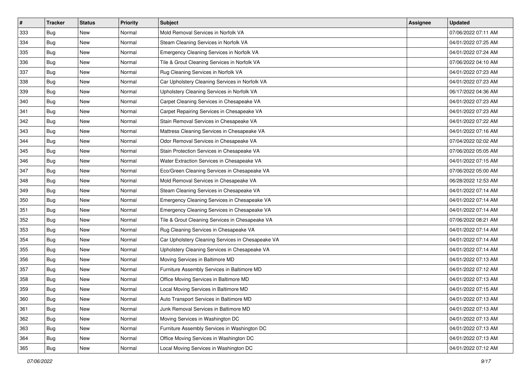| $\sharp$ | <b>Tracker</b> | <b>Status</b> | <b>Priority</b> | Subject                                           | <b>Assignee</b> | <b>Updated</b>      |
|----------|----------------|---------------|-----------------|---------------------------------------------------|-----------------|---------------------|
| 333      | <b>Bug</b>     | New           | Normal          | Mold Removal Services in Norfolk VA               |                 | 07/06/2022 07:11 AM |
| 334      | <b>Bug</b>     | <b>New</b>    | Normal          | Steam Cleaning Services in Norfolk VA             |                 | 04/01/2022 07:25 AM |
| 335      | Bug            | <b>New</b>    | Normal          | Emergency Cleaning Services in Norfolk VA         |                 | 04/01/2022 07:24 AM |
| 336      | Bug            | New           | Normal          | Tile & Grout Cleaning Services in Norfolk VA      |                 | 07/06/2022 04:10 AM |
| 337      | <b>Bug</b>     | New           | Normal          | Rug Cleaning Services in Norfolk VA               |                 | 04/01/2022 07:23 AM |
| 338      | <b>Bug</b>     | New           | Normal          | Car Upholstery Cleaning Services in Norfolk VA    |                 | 04/01/2022 07:23 AM |
| 339      | <b>Bug</b>     | <b>New</b>    | Normal          | Upholstery Cleaning Services in Norfolk VA        |                 | 06/17/2022 04:36 AM |
| 340      | Bug            | New           | Normal          | Carpet Cleaning Services in Chesapeake VA         |                 | 04/01/2022 07:23 AM |
| 341      | Bug            | <b>New</b>    | Normal          | Carpet Repairing Services in Chesapeake VA        |                 | 04/01/2022 07:23 AM |
| 342      | <b>Bug</b>     | <b>New</b>    | Normal          | Stain Removal Services in Chesapeake VA           |                 | 04/01/2022 07:22 AM |
| 343      | Bug            | <b>New</b>    | Normal          | Mattress Cleaning Services in Chesapeake VA       |                 | 04/01/2022 07:16 AM |
| 344      | Bug            | New           | Normal          | Odor Removal Services in Chesapeake VA            |                 | 07/04/2022 02:02 AM |
| 345      | <b>Bug</b>     | New           | Normal          | Stain Protection Services in Chesapeake VA        |                 | 07/06/2022 05:05 AM |
| 346      | <b>Bug</b>     | New           | Normal          | Water Extraction Services in Chesapeake VA        |                 | 04/01/2022 07:15 AM |
| 347      | <b>Bug</b>     | New           | Normal          | Eco/Green Cleaning Services in Chesapeake VA      |                 | 07/06/2022 05:00 AM |
| 348      | <b>Bug</b>     | New           | Normal          | Mold Removal Services in Chesapeake VA            |                 | 06/28/2022 12:53 AM |
| 349      | Bug            | New           | Normal          | Steam Cleaning Services in Chesapeake VA          |                 | 04/01/2022 07:14 AM |
| 350      | <b>Bug</b>     | <b>New</b>    | Normal          | Emergency Cleaning Services in Chesapeake VA      |                 | 04/01/2022 07:14 AM |
| 351      | <b>Bug</b>     | <b>New</b>    | Normal          | Emergency Cleaning Services in Chesapeake VA      |                 | 04/01/2022 07:14 AM |
| 352      | <b>Bug</b>     | <b>New</b>    | Normal          | Tile & Grout Cleaning Services in Chesapeake VA   |                 | 07/06/2022 08:21 AM |
| 353      | Bug            | New           | Normal          | Rug Cleaning Services in Chesapeake VA            |                 | 04/01/2022 07:14 AM |
| 354      | Bug            | <b>New</b>    | Normal          | Car Upholstery Cleaning Services in Chesapeake VA |                 | 04/01/2022 07:14 AM |
| 355      | <b>Bug</b>     | <b>New</b>    | Normal          | Upholstery Cleaning Services in Chesapeake VA     |                 | 04/01/2022 07:14 AM |
| 356      | Bug            | New           | Normal          | Moving Services in Baltimore MD                   |                 | 04/01/2022 07:13 AM |
| 357      | <b>Bug</b>     | <b>New</b>    | Normal          | Furniture Assembly Services in Baltimore MD       |                 | 04/01/2022 07:12 AM |
| 358      | Bug            | New           | Normal          | Office Moving Services in Baltimore MD            |                 | 04/01/2022 07:13 AM |
| 359      | Bug            | New           | Normal          | Local Moving Services in Baltimore MD             |                 | 04/01/2022 07:15 AM |
| 360      | <b>Bug</b>     | New           | Normal          | Auto Transport Services in Baltimore MD           |                 | 04/01/2022 07:13 AM |
| 361      | Bug            | New           | Normal          | Junk Removal Services in Baltimore MD             |                 | 04/01/2022 07:13 AM |
| 362      | Bug            | New           | Normal          | Moving Services in Washington DC                  |                 | 04/01/2022 07:13 AM |
| 363      | Bug            | New           | Normal          | Furniture Assembly Services in Washington DC      |                 | 04/01/2022 07:13 AM |
| 364      | Bug            | New           | Normal          | Office Moving Services in Washington DC           |                 | 04/01/2022 07:13 AM |
| 365      | <b>Bug</b>     | New           | Normal          | Local Moving Services in Washington DC            |                 | 04/01/2022 07:12 AM |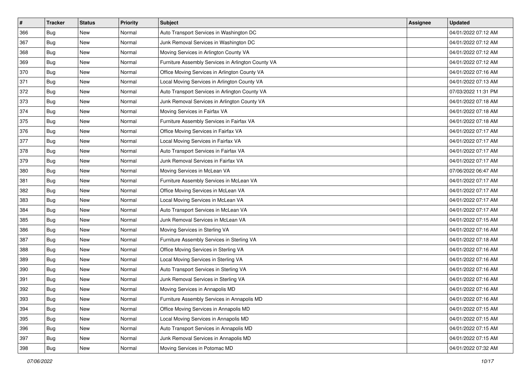| $\sharp$ | <b>Tracker</b> | <b>Status</b> | <b>Priority</b> | <b>Subject</b>                                     | <b>Assignee</b> | <b>Updated</b>      |
|----------|----------------|---------------|-----------------|----------------------------------------------------|-----------------|---------------------|
| 366      | Bug            | New           | Normal          | Auto Transport Services in Washington DC           |                 | 04/01/2022 07:12 AM |
| 367      | Bug            | <b>New</b>    | Normal          | Junk Removal Services in Washington DC             |                 | 04/01/2022 07:12 AM |
| 368      | Bug            | New           | Normal          | Moving Services in Arlington County VA             |                 | 04/01/2022 07:12 AM |
| 369      | Bug            | <b>New</b>    | Normal          | Furniture Assembly Services in Arlington County VA |                 | 04/01/2022 07:12 AM |
| 370      | Bug            | New           | Normal          | Office Moving Services in Arlington County VA      |                 | 04/01/2022 07:16 AM |
| 371      | <b>Bug</b>     | New           | Normal          | Local Moving Services in Arlington County VA       |                 | 04/01/2022 07:13 AM |
| 372      | Bug            | New           | Normal          | Auto Transport Services in Arlington County VA     |                 | 07/03/2022 11:31 PM |
| 373      | Bug            | New           | Normal          | Junk Removal Services in Arlington County VA       |                 | 04/01/2022 07:18 AM |
| 374      | Bug            | New           | Normal          | Moving Services in Fairfax VA                      |                 | 04/01/2022 07:18 AM |
| 375      | <b>Bug</b>     | <b>New</b>    | Normal          | Furniture Assembly Services in Fairfax VA          |                 | 04/01/2022 07:18 AM |
| 376      | Bug            | New           | Normal          | Office Moving Services in Fairfax VA               |                 | 04/01/2022 07:17 AM |
| 377      | Bug            | New           | Normal          | Local Moving Services in Fairfax VA                |                 | 04/01/2022 07:17 AM |
| 378      | <b>Bug</b>     | <b>New</b>    | Normal          | Auto Transport Services in Fairfax VA              |                 | 04/01/2022 07:17 AM |
| 379      | Bug            | New           | Normal          | Junk Removal Services in Fairfax VA                |                 | 04/01/2022 07:17 AM |
| 380      | Bug            | <b>New</b>    | Normal          | Moving Services in McLean VA                       |                 | 07/06/2022 06:47 AM |
| 381      | Bug            | New           | Normal          | Furniture Assembly Services in McLean VA           |                 | 04/01/2022 07:17 AM |
| 382      | Bug            | <b>New</b>    | Normal          | Office Moving Services in McLean VA                |                 | 04/01/2022 07:17 AM |
| 383      | Bug            | New           | Normal          | Local Moving Services in McLean VA                 |                 | 04/01/2022 07:17 AM |
| 384      | Bug            | <b>New</b>    | Normal          | Auto Transport Services in McLean VA               |                 | 04/01/2022 07:17 AM |
| 385      | Bug            | <b>New</b>    | Normal          | Junk Removal Services in McLean VA                 |                 | 04/01/2022 07:15 AM |
| 386      | Bug            | New           | Normal          | Moving Services in Sterling VA                     |                 | 04/01/2022 07:16 AM |
| 387      | Bug            | New           | Normal          | Furniture Assembly Services in Sterling VA         |                 | 04/01/2022 07:18 AM |
| 388      | <b>Bug</b>     | <b>New</b>    | Normal          | Office Moving Services in Sterling VA              |                 | 04/01/2022 07:16 AM |
| 389      | Bug            | New           | Normal          | Local Moving Services in Sterling VA               |                 | 04/01/2022 07:16 AM |
| 390      | Bug            | New           | Normal          | Auto Transport Services in Sterling VA             |                 | 04/01/2022 07:16 AM |
| 391      | <b>Bug</b>     | <b>New</b>    | Normal          | Junk Removal Services in Sterling VA               |                 | 04/01/2022 07:16 AM |
| 392      | Bug            | New           | Normal          | Moving Services in Annapolis MD                    |                 | 04/01/2022 07:16 AM |
| 393      | <b>Bug</b>     | New           | Normal          | Furniture Assembly Services in Annapolis MD        |                 | 04/01/2022 07:16 AM |
| 394      | Bug            | New           | Normal          | Office Moving Services in Annapolis MD             |                 | 04/01/2022 07:15 AM |
| 395      | Bug            | New           | Normal          | Local Moving Services in Annapolis MD              |                 | 04/01/2022 07:15 AM |
| 396      | Bug            | New           | Normal          | Auto Transport Services in Annapolis MD            |                 | 04/01/2022 07:15 AM |
| 397      | Bug            | New           | Normal          | Junk Removal Services in Annapolis MD              |                 | 04/01/2022 07:15 AM |
| 398      | <b>Bug</b>     | New           | Normal          | Moving Services in Potomac MD                      |                 | 04/01/2022 07:32 AM |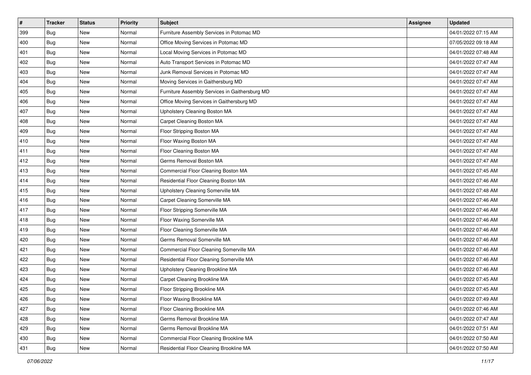| $\vert$ # | <b>Tracker</b> | <b>Status</b> | <b>Priority</b> | <b>Subject</b>                                 | <b>Assignee</b> | <b>Updated</b>      |
|-----------|----------------|---------------|-----------------|------------------------------------------------|-----------------|---------------------|
| 399       | Bug            | New           | Normal          | Furniture Assembly Services in Potomac MD      |                 | 04/01/2022 07:15 AM |
| 400       | Bug            | <b>New</b>    | Normal          | Office Moving Services in Potomac MD           |                 | 07/05/2022 09:18 AM |
| 401       | <b>Bug</b>     | New           | Normal          | Local Moving Services in Potomac MD            |                 | 04/01/2022 07:48 AM |
| 402       | Bug            | New           | Normal          | Auto Transport Services in Potomac MD          |                 | 04/01/2022 07:47 AM |
| 403       | <b>Bug</b>     | <b>New</b>    | Normal          | Junk Removal Services in Potomac MD            |                 | 04/01/2022 07:47 AM |
| 404       | Bug            | New           | Normal          | Moving Services in Gaithersburg MD             |                 | 04/01/2022 07:47 AM |
| 405       | Bug            | New           | Normal          | Furniture Assembly Services in Gaithersburg MD |                 | 04/01/2022 07:47 AM |
| 406       | Bug            | New           | Normal          | Office Moving Services in Gaithersburg MD      |                 | 04/01/2022 07:47 AM |
| 407       | Bug            | New           | Normal          | Upholstery Cleaning Boston MA                  |                 | 04/01/2022 07:47 AM |
| 408       | <b>Bug</b>     | <b>New</b>    | Normal          | Carpet Cleaning Boston MA                      |                 | 04/01/2022 07:47 AM |
| 409       | Bug            | New           | Normal          | Floor Stripping Boston MA                      |                 | 04/01/2022 07:47 AM |
| 410       | Bug            | New           | Normal          | Floor Waxing Boston MA                         |                 | 04/01/2022 07:47 AM |
| 411       | <b>Bug</b>     | New           | Normal          | Floor Cleaning Boston MA                       |                 | 04/01/2022 07:47 AM |
| 412       | Bug            | New           | Normal          | Germs Removal Boston MA                        |                 | 04/01/2022 07:47 AM |
| 413       | <b>Bug</b>     | <b>New</b>    | Normal          | Commercial Floor Cleaning Boston MA            |                 | 04/01/2022 07:45 AM |
| 414       | Bug            | New           | Normal          | Residential Floor Cleaning Boston MA           |                 | 04/01/2022 07:46 AM |
| 415       | Bug            | New           | Normal          | Upholstery Cleaning Somerville MA              |                 | 04/01/2022 07:48 AM |
| 416       | <b>Bug</b>     | <b>New</b>    | Normal          | Carpet Cleaning Somerville MA                  |                 | 04/01/2022 07:46 AM |
| 417       | Bug            | New           | Normal          | Floor Stripping Somerville MA                  |                 | 04/01/2022 07:46 AM |
| 418       | Bug            | New           | Normal          | Floor Waxing Somerville MA                     |                 | 04/01/2022 07:46 AM |
| 419       | Bug            | New           | Normal          | Floor Cleaning Somerville MA                   |                 | 04/01/2022 07:46 AM |
| 420       | Bug            | New           | Normal          | Germs Removal Somerville MA                    |                 | 04/01/2022 07:46 AM |
| 421       | <b>Bug</b>     | <b>New</b>    | Normal          | Commercial Floor Cleaning Somerville MA        |                 | 04/01/2022 07:46 AM |
| 422       | Bug            | New           | Normal          | Residential Floor Cleaning Somerville MA       |                 | 04/01/2022 07:46 AM |
| 423       | Bug            | New           | Normal          | Upholstery Cleaning Brookline MA               |                 | 04/01/2022 07:46 AM |
| 424       | Bug            | New           | Normal          | Carpet Cleaning Brookline MA                   |                 | 04/01/2022 07:45 AM |
| 425       | Bug            | New           | Normal          | Floor Stripping Brookline MA                   |                 | 04/01/2022 07:45 AM |
| 426       | <b>Bug</b>     | New           | Normal          | Floor Waxing Brookline MA                      |                 | 04/01/2022 07:49 AM |
| 427       | Bug            | New           | Normal          | Floor Cleaning Brookline MA                    |                 | 04/01/2022 07:46 AM |
| 428       | Bug            | New           | Normal          | Germs Removal Brookline MA                     |                 | 04/01/2022 07:47 AM |
| 429       | Bug            | New           | Normal          | Germs Removal Brookline MA                     |                 | 04/01/2022 07:51 AM |
| 430       | <b>Bug</b>     | New           | Normal          | Commercial Floor Cleaning Brookline MA         |                 | 04/01/2022 07:50 AM |
| 431       | <b>Bug</b>     | New           | Normal          | Residential Floor Cleaning Brookline MA        |                 | 04/01/2022 07:50 AM |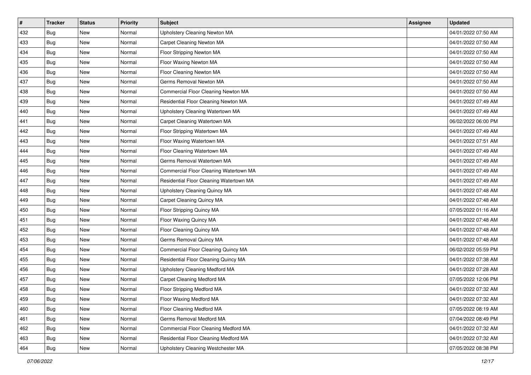| $\vert$ # | <b>Tracker</b> | <b>Status</b> | Priority | <b>Subject</b>                          | <b>Assignee</b> | <b>Updated</b>      |
|-----------|----------------|---------------|----------|-----------------------------------------|-----------------|---------------------|
| 432       | Bug            | New           | Normal   | Upholstery Cleaning Newton MA           |                 | 04/01/2022 07:50 AM |
| 433       | Bug            | New           | Normal   | Carpet Cleaning Newton MA               |                 | 04/01/2022 07:50 AM |
| 434       | Bug            | New           | Normal   | Floor Stripping Newton MA               |                 | 04/01/2022 07:50 AM |
| 435       | Bug            | New           | Normal   | Floor Waxing Newton MA                  |                 | 04/01/2022 07:50 AM |
| 436       | Bug            | <b>New</b>    | Normal   | Floor Cleaning Newton MA                |                 | 04/01/2022 07:50 AM |
| 437       | Bug            | New           | Normal   | Germs Removal Newton MA                 |                 | 04/01/2022 07:50 AM |
| 438       | Bug            | New           | Normal   | Commercial Floor Cleaning Newton MA     |                 | 04/01/2022 07:50 AM |
| 439       | Bug            | New           | Normal   | Residential Floor Cleaning Newton MA    |                 | 04/01/2022 07:49 AM |
| 440       | Bug            | New           | Normal   | Upholstery Cleaning Watertown MA        |                 | 04/01/2022 07:49 AM |
| 441       | Bug            | New           | Normal   | Carpet Cleaning Watertown MA            |                 | 06/02/2022 06:00 PM |
| 442       | Bug            | New           | Normal   | Floor Stripping Watertown MA            |                 | 04/01/2022 07:49 AM |
| 443       | Bug            | New           | Normal   | Floor Waxing Watertown MA               |                 | 04/01/2022 07:51 AM |
| 444       | Bug            | New           | Normal   | Floor Cleaning Watertown MA             |                 | 04/01/2022 07:49 AM |
| 445       | Bug            | New           | Normal   | Germs Removal Watertown MA              |                 | 04/01/2022 07:49 AM |
| 446       | Bug            | New           | Normal   | Commercial Floor Cleaning Watertown MA  |                 | 04/01/2022 07:49 AM |
| 447       | Bug            | New           | Normal   | Residential Floor Cleaning Watertown MA |                 | 04/01/2022 07:49 AM |
| 448       | Bug            | New           | Normal   | Upholstery Cleaning Quincy MA           |                 | 04/01/2022 07:48 AM |
| 449       | Bug            | <b>New</b>    | Normal   | Carpet Cleaning Quincy MA               |                 | 04/01/2022 07:48 AM |
| 450       | Bug            | New           | Normal   | Floor Stripping Quincy MA               |                 | 07/05/2022 01:16 AM |
| 451       | Bug            | New           | Normal   | Floor Waxing Quincy MA                  |                 | 04/01/2022 07:48 AM |
| 452       | Bug            | New           | Normal   | Floor Cleaning Quincy MA                |                 | 04/01/2022 07:48 AM |
| 453       | Bug            | New           | Normal   | Germs Removal Quincy MA                 |                 | 04/01/2022 07:48 AM |
| 454       | <b>Bug</b>     | <b>New</b>    | Normal   | Commercial Floor Cleaning Quincy MA     |                 | 06/02/2022 05:59 PM |
| 455       | Bug            | New           | Normal   | Residential Floor Cleaning Quincy MA    |                 | 04/01/2022 07:38 AM |
| 456       | Bug            | New           | Normal   | Upholstery Cleaning Medford MA          |                 | 04/01/2022 07:28 AM |
| 457       | Bug            | New           | Normal   | <b>Carpet Cleaning Medford MA</b>       |                 | 07/05/2022 12:06 PM |
| 458       | Bug            | New           | Normal   | Floor Stripping Medford MA              |                 | 04/01/2022 07:32 AM |
| 459       | <b>Bug</b>     | New           | Normal   | Floor Waxing Medford MA                 |                 | 04/01/2022 07:32 AM |
| 460       | Bug            | New           | Normal   | Floor Cleaning Medford MA               |                 | 07/05/2022 08:19 AM |
| 461       | Bug            | New           | Normal   | Germs Removal Medford MA                |                 | 07/04/2022 08:49 PM |
| 462       | Bug            | New           | Normal   | Commercial Floor Cleaning Medford MA    |                 | 04/01/2022 07:32 AM |
| 463       | <b>Bug</b>     | New           | Normal   | Residential Floor Cleaning Medford MA   |                 | 04/01/2022 07:32 AM |
| 464       | <b>Bug</b>     | New           | Normal   | Upholstery Cleaning Westchester MA      |                 | 07/05/2022 08:38 PM |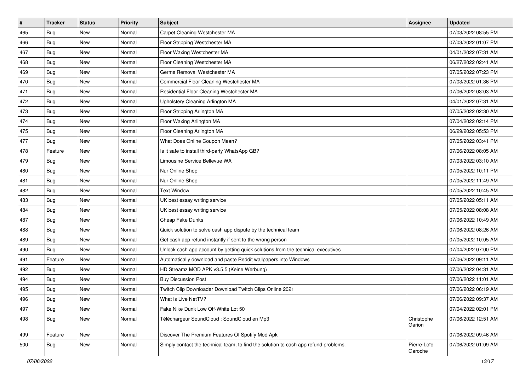| $\vert$ # | <b>Tracker</b> | <b>Status</b> | <b>Priority</b> | Subject                                                                              | <b>Assignee</b>        | <b>Updated</b>      |
|-----------|----------------|---------------|-----------------|--------------------------------------------------------------------------------------|------------------------|---------------------|
| 465       | Bug            | New           | Normal          | Carpet Cleaning Westchester MA                                                       |                        | 07/03/2022 08:55 PM |
| 466       | <b>Bug</b>     | <b>New</b>    | Normal          | Floor Stripping Westchester MA                                                       |                        | 07/03/2022 01:07 PM |
| 467       | Bug            | New           | Normal          | Floor Waxing Westchester MA                                                          |                        | 04/01/2022 07:31 AM |
| 468       | Bug            | <b>New</b>    | Normal          | Floor Cleaning Westchester MA                                                        |                        | 06/27/2022 02:41 AM |
| 469       | Bug            | New           | Normal          | Germs Removal Westchester MA                                                         |                        | 07/05/2022 07:23 PM |
| 470       | Bug            | New           | Normal          | Commercial Floor Cleaning Westchester MA                                             |                        | 07/03/2022 01:36 PM |
| 471       | Bug            | New           | Normal          | Residential Floor Cleaning Westchester MA                                            |                        | 07/06/2022 03:03 AM |
| 472       | Bug            | New           | Normal          | Upholstery Cleaning Arlington MA                                                     |                        | 04/01/2022 07:31 AM |
| 473       | Bug            | New           | Normal          | Floor Stripping Arlington MA                                                         |                        | 07/05/2022 02:30 AM |
| 474       | <b>Bug</b>     | <b>New</b>    | Normal          | Floor Waxing Arlington MA                                                            |                        | 07/04/2022 02:14 PM |
| 475       | Bug            | New           | Normal          | Floor Cleaning Arlington MA                                                          |                        | 06/29/2022 05:53 PM |
| 477       | Bug            | New           | Normal          | What Does Online Coupon Mean?                                                        |                        | 07/05/2022 03:41 PM |
| 478       | Feature        | New           | Normal          | Is it safe to install third-party WhatsApp GB?                                       |                        | 07/06/2022 08:05 AM |
| 479       | Bug            | New           | Normal          | Limousine Service Bellevue WA                                                        |                        | 07/03/2022 03:10 AM |
| 480       | <b>Bug</b>     | New           | Normal          | Nur Online Shop                                                                      |                        | 07/05/2022 10:11 PM |
| 481       | Bug            | New           | Normal          | Nur Online Shop                                                                      |                        | 07/05/2022 11:49 AM |
| 482       | Bug            | <b>New</b>    | Normal          | <b>Text Window</b>                                                                   |                        | 07/05/2022 10:45 AM |
| 483       | <b>Bug</b>     | New           | Normal          | UK best essay writing service                                                        |                        | 07/05/2022 05:11 AM |
| 484       | <b>Bug</b>     | New           | Normal          | UK best essay writing service                                                        |                        | 07/05/2022 08:08 AM |
| 487       | <b>Bug</b>     | <b>New</b>    | Normal          | Cheap Fake Dunks                                                                     |                        | 07/06/2022 10:49 AM |
| 488       | Bug            | New           | Normal          | Quick solution to solve cash app dispute by the technical team                       |                        | 07/06/2022 08:26 AM |
| 489       | Bug            | New           | Normal          | Get cash app refund instantly if sent to the wrong person                            |                        | 07/05/2022 10:05 AM |
| 490       | Bug            | <b>New</b>    | Normal          | Unlock cash app account by getting quick solutions from the technical executives     |                        | 07/04/2022 07:00 PM |
| 491       | Feature        | New           | Normal          | Automatically download and paste Reddit wallpapers into Windows                      |                        | 07/06/2022 09:11 AM |
| 492       | Bug            | New           | Normal          | HD Streamz MOD APK v3.5.5 (Keine Werbung)                                            |                        | 07/06/2022 04:31 AM |
| 494       | Bug            | New           | Normal          | <b>Buy Discussion Post</b>                                                           |                        | 07/06/2022 11:01 AM |
| 495       | Bug            | New           | Normal          | Twitch Clip Downloader Download Twitch Clips Online 2021                             |                        | 07/06/2022 06:19 AM |
| 496       | <b>Bug</b>     | New           | Normal          | What is Live NetTV?                                                                  |                        | 07/06/2022 09:37 AM |
| 497       | Bug            | New           | Normal          | Fake Nike Dunk Low Off-White Lot 50                                                  |                        | 07/04/2022 02:01 PM |
| 498       | Bug            | New           | Normal          | Téléchargeur SoundCloud : SoundCloud en Mp3                                          | Christophe<br>Garion   | 07/06/2022 12:51 AM |
| 499       | Feature        | New           | Normal          | Discover The Premium Features Of Spotify Mod Apk                                     |                        | 07/06/2022 09:46 AM |
| 500       | Bug            | New           | Normal          | Simply contact the technical team, to find the solution to cash app refund problems. | Pierre-Loïc<br>Garoche | 07/06/2022 01:09 AM |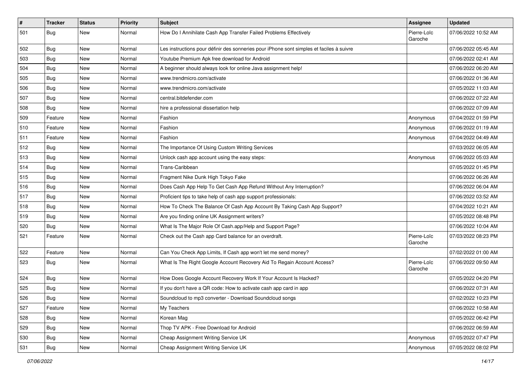| $\vert$ # | <b>Tracker</b> | <b>Status</b> | <b>Priority</b> | Subject                                                                                  | Assignee               | <b>Updated</b>      |
|-----------|----------------|---------------|-----------------|------------------------------------------------------------------------------------------|------------------------|---------------------|
| 501       | Bug            | New           | Normal          | How Do I Annihilate Cash App Transfer Failed Problems Effectively                        | Pierre-Loïc<br>Garoche | 07/06/2022 10:52 AM |
| 502       | Bug            | New           | Normal          | Les instructions pour définir des sonneries pour iPhone sont simples et faciles à suivre |                        | 07/06/2022 05:45 AM |
| 503       | Bug            | <b>New</b>    | Normal          | Youtube Premium Apk free download for Android                                            |                        | 07/06/2022 02:41 AM |
| 504       | Bug            | New           | Normal          | A beginner should always look for online Java assignment help!                           |                        | 07/06/2022 06:20 AM |
| 505       | Bug            | New           | Normal          | www.trendmicro.com/activate                                                              |                        | 07/06/2022 01:36 AM |
| 506       | Bug            | New           | Normal          | www.trendmicro.com/activate                                                              |                        | 07/05/2022 11:03 AM |
| 507       | Bug            | New           | Normal          | central.bitdefender.com                                                                  |                        | 07/06/2022 07:22 AM |
| 508       | Bug            | New           | Normal          | hire a professional dissertation help                                                    |                        | 07/06/2022 07:09 AM |
| 509       | Feature        | New           | Normal          | Fashion                                                                                  | Anonymous              | 07/04/2022 01:59 PM |
| 510       | Feature        | New           | Normal          | Fashion                                                                                  | Anonymous              | 07/06/2022 01:19 AM |
| 511       | Feature        | <b>New</b>    | Normal          | Fashion                                                                                  | Anonymous              | 07/04/2022 04:49 AM |
| 512       | Bug            | New           | Normal          | The Importance Of Using Custom Writing Services                                          |                        | 07/03/2022 06:05 AM |
| 513       | Bug            | New           | Normal          | Unlock cash app account using the easy steps:                                            | Anonymous              | 07/06/2022 05:03 AM |
| 514       | <b>Bug</b>     | <b>New</b>    | Normal          | Trans-Caribbean                                                                          |                        | 07/05/2022 01:45 PM |
| 515       | Bug            | New           | Normal          | Fragment Nike Dunk High Tokyo Fake                                                       |                        | 07/06/2022 06:26 AM |
| 516       | Bug            | <b>New</b>    | Normal          | Does Cash App Help To Get Cash App Refund Without Any Interruption?                      |                        | 07/06/2022 06:04 AM |
| 517       | <b>Bug</b>     | New           | Normal          | Proficient tips to take help of cash app support professionals:                          |                        | 07/06/2022 03:52 AM |
| 518       | Bug            | New           | Normal          | How To Check The Balance Of Cash App Account By Taking Cash App Support?                 |                        | 07/04/2022 10:21 AM |
| 519       | Bug            | New           | Normal          | Are you finding online UK Assignment writers?                                            |                        | 07/05/2022 08:48 PM |
| 520       | Bug            | New           | Normal          | What Is The Major Role Of Cash.app/Help and Support Page?                                |                        | 07/06/2022 10:04 AM |
| 521       | Feature        | New           | Normal          | Check out the Cash app Card balance for an overdraft.                                    | Pierre-Loïc<br>Garoche | 07/03/2022 08:23 PM |
| 522       | Feature        | New           | Normal          | Can You Check App Limits, If Cash app won't let me send money?                           |                        | 07/02/2022 01:00 AM |
| 523       | Bug            | New           | Normal          | What Is The Right Google Account Recovery Aid To Regain Account Access?                  | Pierre-Loïc<br>Garoche | 07/06/2022 09:50 AM |
| 524       | Bug            | New           | Normal          | How Does Google Account Recovery Work If Your Account Is Hacked?                         |                        | 07/05/2022 04:20 PM |
| 525       | Bug            | New           | Normal          | If you don't have a QR code: How to activate cash app card in app                        |                        | 07/06/2022 07:31 AM |
| 526       | Bug            | New           | Normal          | Soundcloud to mp3 converter - Download Soundcloud songs                                  |                        | 07/02/2022 10:23 PM |
| 527       | Feature        | New           | Normal          | My Teachers                                                                              |                        | 07/06/2022 10:58 AM |
| 528       | Bug            | New           | Normal          | Korean Mag                                                                               |                        | 07/05/2022 06:42 PM |
| 529       | Bug            | New           | Normal          | Thop TV APK - Free Download for Android                                                  |                        | 07/06/2022 06:59 AM |
| 530       | Bug            | New           | Normal          | Cheap Assignment Writing Service UK                                                      | Anonymous              | 07/05/2022 07:47 PM |
| 531       | <b>Bug</b>     | New           | Normal          | Cheap Assignment Writing Service UK                                                      | Anonymous              | 07/05/2022 08:02 PM |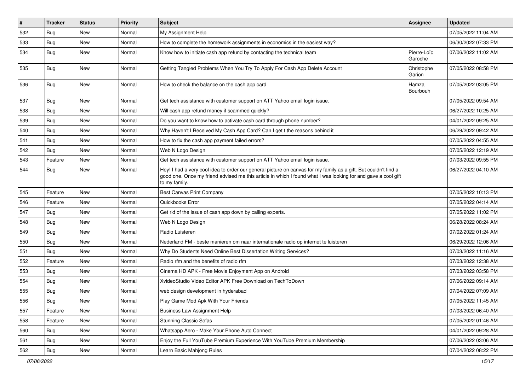| $\sharp$ | <b>Tracker</b> | <b>Status</b> | <b>Priority</b> | Subject                                                                                                                                                                                                                                           | <b>Assignee</b>        | <b>Updated</b>      |
|----------|----------------|---------------|-----------------|---------------------------------------------------------------------------------------------------------------------------------------------------------------------------------------------------------------------------------------------------|------------------------|---------------------|
| 532      | <b>Bug</b>     | New           | Normal          | My Assignment Help                                                                                                                                                                                                                                |                        | 07/05/2022 11:04 AM |
| 533      | <b>Bug</b>     | <b>New</b>    | Normal          | How to complete the homework assignments in economics in the easiest way?                                                                                                                                                                         |                        | 06/30/2022 07:33 PM |
| 534      | Bug            | New           | Normal          | Know how to initiate cash app refund by contacting the technical team                                                                                                                                                                             | Pierre-Loïc<br>Garoche | 07/06/2022 11:02 AM |
| 535      | Bug            | New           | Normal          | Getting Tangled Problems When You Try To Apply For Cash App Delete Account                                                                                                                                                                        | Christophe<br>Garion   | 07/05/2022 08:58 PM |
| 536      | Bug            | New           | Normal          | How to check the balance on the cash app card                                                                                                                                                                                                     | Hamza<br>Bourbouh      | 07/05/2022 03:05 PM |
| 537      | Bug            | New           | Normal          | Get tech assistance with customer support on ATT Yahoo email login issue.                                                                                                                                                                         |                        | 07/05/2022 09:54 AM |
| 538      | Bug            | New           | Normal          | Will cash app refund money if scammed quickly?                                                                                                                                                                                                    |                        | 06/27/2022 10:25 AM |
| 539      | Bug            | New           | Normal          | Do you want to know how to activate cash card through phone number?                                                                                                                                                                               |                        | 04/01/2022 09:25 AM |
| 540      | <b>Bug</b>     | <b>New</b>    | Normal          | Why Haven't I Received My Cash App Card? Can I get t the reasons behind it                                                                                                                                                                        |                        | 06/29/2022 09:42 AM |
| 541      | Bug            | New           | Normal          | How to fix the cash app payment failed errors?                                                                                                                                                                                                    |                        | 07/05/2022 04:55 AM |
| 542      | Bug            | New           | Normal          | Web N Logo Design                                                                                                                                                                                                                                 |                        | 07/05/2022 12:19 AM |
| 543      | Feature        | New           | Normal          | Get tech assistance with customer support on ATT Yahoo email login issue.                                                                                                                                                                         |                        | 07/03/2022 09:55 PM |
| 544      | Bug            | New           | Normal          | Hey! I had a very cool idea to order our general picture on canvas for my family as a gift. But couldn't find a<br>good one. Once my friend advised me this article in which I found what I was looking for and gave a cool gift<br>to my family. |                        | 06/27/2022 04:10 AM |
| 545      | Feature        | New           | Normal          | Best Canvas Print Company                                                                                                                                                                                                                         |                        | 07/05/2022 10:13 PM |
| 546      | Feature        | <b>New</b>    | Normal          | Quickbooks Error                                                                                                                                                                                                                                  |                        | 07/05/2022 04:14 AM |
| 547      | Bug            | New           | Normal          | Get rid of the issue of cash app down by calling experts.                                                                                                                                                                                         |                        | 07/05/2022 11:02 PM |
| 548      | <b>Bug</b>     | New           | Normal          | Web N Logo Design                                                                                                                                                                                                                                 |                        | 06/28/2022 08:24 AM |
| 549      | Bug            | New           | Normal          | Radio Luisteren                                                                                                                                                                                                                                   |                        | 07/02/2022 01:24 AM |
| 550      | Bug            | <b>New</b>    | Normal          | Nederland FM - beste manieren om naar internationale radio op internet te luisteren                                                                                                                                                               |                        | 06/29/2022 12:06 AM |
| 551      | Bug            | New           | Normal          | Why Do Students Need Online Best Dissertation Writing Services?                                                                                                                                                                                   |                        | 07/03/2022 11:16 AM |
| 552      | Feature        | New           | Normal          | Radio rfm and the benefits of radio rfm                                                                                                                                                                                                           |                        | 07/03/2022 12:38 AM |
| 553      | Bug            | New           | Normal          | Cinema HD APK - Free Movie Enjoyment App on Android                                                                                                                                                                                               |                        | 07/03/2022 03:58 PM |
| 554      | <b>Bug</b>     | New           | Normal          | XvideoStudio Video Editor APK Free Download on TechToDown                                                                                                                                                                                         |                        | 07/06/2022 09:14 AM |
| 555      | <b>Bug</b>     | New           | Normal          | web design development in hyderabad                                                                                                                                                                                                               |                        | 07/04/2022 07:09 AM |
| 556      | Bug            | New           | Normal          | Play Game Mod Apk With Your Friends                                                                                                                                                                                                               |                        | 07/05/2022 11:45 AM |
| 557      | Feature        | New           | Normal          | <b>Business Law Assignment Help</b>                                                                                                                                                                                                               |                        | 07/03/2022 06:40 AM |
| 558      | Feature        | New           | Normal          | <b>Stunning Classic Sofas</b>                                                                                                                                                                                                                     |                        | 07/05/2022 01:46 AM |
| 560      | Bug            | New           | Normal          | Whatsapp Aero - Make Your Phone Auto Connect                                                                                                                                                                                                      |                        | 04/01/2022 09:28 AM |
| 561      | Bug            | New           | Normal          | Enjoy the Full YouTube Premium Experience With YouTube Premium Membership                                                                                                                                                                         |                        | 07/06/2022 03:06 AM |
| 562      | <b>Bug</b>     | New           | Normal          | Learn Basic Mahjong Rules                                                                                                                                                                                                                         |                        | 07/04/2022 08:22 PM |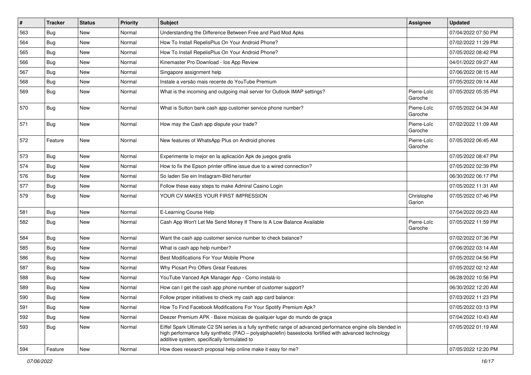| $\sharp$ | <b>Tracker</b> | <b>Status</b> | <b>Priority</b> | <b>Subject</b>                                                                                                                                                                                                                                                        | Assignee               | <b>Updated</b>      |
|----------|----------------|---------------|-----------------|-----------------------------------------------------------------------------------------------------------------------------------------------------------------------------------------------------------------------------------------------------------------------|------------------------|---------------------|
| 563      | <b>Bug</b>     | New           | Normal          | Understanding the Difference Between Free and Paid Mod Apks                                                                                                                                                                                                           |                        | 07/04/2022 07:50 PM |
| 564      | Bug            | <b>New</b>    | Normal          | How To Install RepelisPlus On Your Android Phone?                                                                                                                                                                                                                     |                        | 07/02/2022 11:29 PM |
| 565      | <b>Bug</b>     | New           | Normal          | How To Install RepelisPlus On Your Android Phone?                                                                                                                                                                                                                     |                        | 07/05/2022 08:42 PM |
| 566      | Bug            | New           | Normal          | Kinemaster Pro Download - los App Review                                                                                                                                                                                                                              |                        | 04/01/2022 09:27 AM |
| 567      | Bug            | New           | Normal          | Singapore assignment help                                                                                                                                                                                                                                             |                        | 07/06/2022 08:15 AM |
| 568      | <b>Bug</b>     | New           | Normal          | Instale a versão mais recente do YouTube Premium                                                                                                                                                                                                                      |                        | 07/05/2022 09:14 AM |
| 569      | Bug            | New           | Normal          | What is the incoming and outgoing mail server for Outlook IMAP settings?                                                                                                                                                                                              | Pierre-Loïc<br>Garoche | 07/05/2022 05:35 PM |
| 570      | Bug            | New           | Normal          | What is Sutton bank cash app customer service phone number?                                                                                                                                                                                                           | Pierre-Loïc<br>Garoche | 07/05/2022 04:34 AM |
| 571      | Bug            | New           | Normal          | How may the Cash app dispute your trade?                                                                                                                                                                                                                              | Pierre-Loïc<br>Garoche | 07/02/2022 11:09 AM |
| 572      | Feature        | New           | Normal          | New features of WhatsApp Plus on Android phones                                                                                                                                                                                                                       | Pierre-Loïc<br>Garoche | 07/05/2022 06:45 AM |
| 573      | Bug            | New           | Normal          | Experimente lo mejor en la aplicación Apk de juegos gratis                                                                                                                                                                                                            |                        | 07/05/2022 08:47 PM |
| 574      | Bug            | <b>New</b>    | Normal          | How to fix the Epson printer offline issue due to a wired connection?                                                                                                                                                                                                 |                        | 07/05/2022 02:39 PM |
| 576      | <b>Bug</b>     | New           | Normal          | So laden Sie ein Instagram-Bild herunter                                                                                                                                                                                                                              |                        | 06/30/2022 06:17 PM |
| 577      | <b>Bug</b>     | <b>New</b>    | Normal          | Follow these easy steps to make Admiral Casino Login                                                                                                                                                                                                                  |                        | 07/05/2022 11:31 AM |
| 579      | Bug            | New           | Normal          | YOUR CV MAKES YOUR FIRST IMPRESSION                                                                                                                                                                                                                                   | Christophe<br>Garion   | 07/05/2022 07:46 PM |
| 581      | Bug            | New           | Normal          | E-Learning Course Help                                                                                                                                                                                                                                                |                        | 07/04/2022 09:23 AM |
| 582      | Bug            | New           | Normal          | Cash App Won't Let Me Send Money If There Is A Low Balance Available                                                                                                                                                                                                  | Pierre-Loïc<br>Garoche | 07/05/2022 11:59 PM |
| 584      | <b>Bug</b>     | New           | Normal          | Want the cash app customer service number to check balance?                                                                                                                                                                                                           |                        | 07/02/2022 07:36 PM |
| 585      | <b>Bug</b>     | New           | Normal          | What is cash app help number?                                                                                                                                                                                                                                         |                        | 07/06/2022 03:14 AM |
| 586      | Bug            | <b>New</b>    | Normal          | Best Modifications For Your Mobile Phone                                                                                                                                                                                                                              |                        | 07/05/2022 04:56 PM |
| 587      | Bug            | New           | Normal          | Why Picsart Pro Offers Great Features                                                                                                                                                                                                                                 |                        | 07/05/2022 02:12 AM |
| 588      | <b>Bug</b>     | New           | Normal          | YouTube Vanced Apk Manager App - Como instalá-lo                                                                                                                                                                                                                      |                        | 06/28/2022 10:56 PM |
| 589      | <b>Bug</b>     | New           | Normal          | How can I get the cash app phone number of customer support?                                                                                                                                                                                                          |                        | 06/30/2022 12:20 AM |
| 590      | <b>Bug</b>     | New           | Normal          | Follow proper initiatives to check my cash app card balance:                                                                                                                                                                                                          |                        | 07/03/2022 11:23 PM |
| 591      | Bug            | New           | Normal          | How To Find Facebook Modifications For Your Spotify Premium Apk?                                                                                                                                                                                                      |                        | 07/05/2022 03:13 PM |
| 592      | Bug            | New           | Normal          | Deezer Premium APK - Baixe músicas de qualquer lugar do mundo de graça                                                                                                                                                                                                |                        | 07/04/2022 10:43 AM |
| 593      | Bug            | New           | Normal          | Eiffel Spark Ultimate C2 SN series is a fully synthetic range of advanced performance engine oils blended in<br>high performance fully synthetic (PAO - polyalphaolefin) basestocks fortified with advanced technology<br>additive system, specifically formulated to |                        | 07/05/2022 01:19 AM |
| 594      | Feature        | New           | Normal          | How does research proposal help online make it easy for me?                                                                                                                                                                                                           |                        | 07/05/2022 12:20 PM |